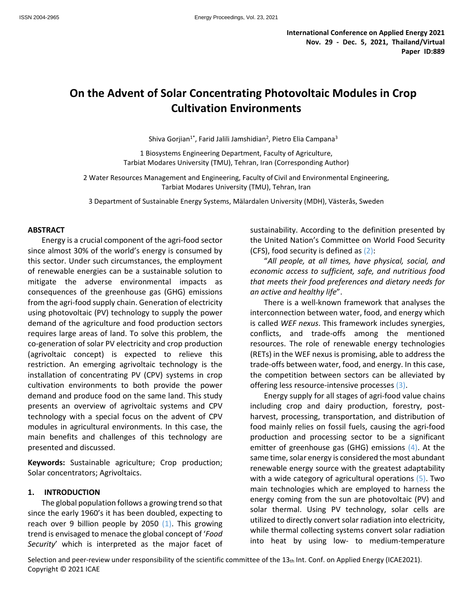# **On the Advent of Solar Concentrating Photovoltaic Modules in Crop Cultivation Environments**

Shiva Gorjian<sup>1\*</sup>, Farid Jalili Jamshidian<sup>2</sup>, Pietro Elia Campana<sup>3</sup>

1 Biosystems Engineering Department, Faculty of Agriculture, Tarbiat Modares University (TMU), Tehran, Iran (Corresponding Author)

2 Water Resources Management and Engineering, Faculty of Civil and Environmental Engineering, Tarbiat Modares University (TMU), Tehran, Iran

3 Department of Sustainable Energy Systems, Mälardalen University (MDH), Västerås, Sweden

#### **ABSTRACT**

Energy is a crucial component of the agri-food sector since almost 30% of the world's energy is consumed by this sector. Under such circumstances, the employment of renewable energies can be a sustainable solution to mitigate the adverse environmental impacts as consequences of the greenhouse gas (GHG) emissions from the agri-food supply chain. Generation of electricity using photovoltaic (PV) technology to supply the power demand of the agriculture and food production sectors requires large areas of land. To solve this problem, the co-generation of solar PV electricity and crop production (agrivoltaic concept) is expected to relieve this restriction. An emerging agrivoltaic technology is the installation of concentrating PV (CPV) systems in crop cultivation environments to both provide the power demand and produce food on the same land. This study presents an overview of agrivoltaic systems and CPV technology with a special focus on the advent of CPV modules in agricultural environments. In this case, the main benefits and challenges of this technology are presented and discussed.

**Keywords:** Sustainable agriculture; Crop production; Solar concentrators; Agrivoltaics.

#### **1. INTRODUCTION**

The global population follows a growing trend so that since the early 1960's it has been doubled, expecting to reach over 9 billion people by 2050  $(1)$ . This growing trend is envisaged to menace the global concept of '*Food Security*' which is interpreted as the major facet of

sustainability. According to the definition presented by the United Nation's Committee on World Food Security (CFS), food security is defined as  $(2)$ :

"*All people, at all times, have physical, social, and economic access to sufficient, safe, and nutritious food that meets their food preferences and dietary needs for an active and healthy life*".

There is a well-known framework that analyses the interconnection between water, food, and energy which is called *WEF nexus*. This framework includes synergies, conflicts, and trade-offs among the mentioned resources. The role of renewable energy technologies (RETs) in the WEF nexus is promising, able to address the trade-offs between water, food, and energy. In this case, the competition between sectors can be alleviated by offering less resource-intensive processes (3).

Energy supply for all stages of agri-food value chains including crop and dairy production, forestry, postharvest, processing, transportation, and distribution of food mainly relies on fossil fuels, causing the agri-food production and processing sector to be a significant emitter of greenhouse gas (GHG) emissions (4). At the same time, solar energy is considered the most abundant renewable energy source with the greatest adaptability with a wide category of agricultural operations (5). Two main technologies which are employed to harness the energy coming from the sun are photovoltaic (PV) and solar thermal. Using PV technology, solar cells are utilized to directly convert solar radiation into electricity, while thermal collecting systems convert solar radiation into heat by using low- to medium-temperature

Selection and peer-review under responsibility of the scientific committee of the 13th Int. Conf. on Applied Energy (ICAE2021). Copyright © 2021 ICAE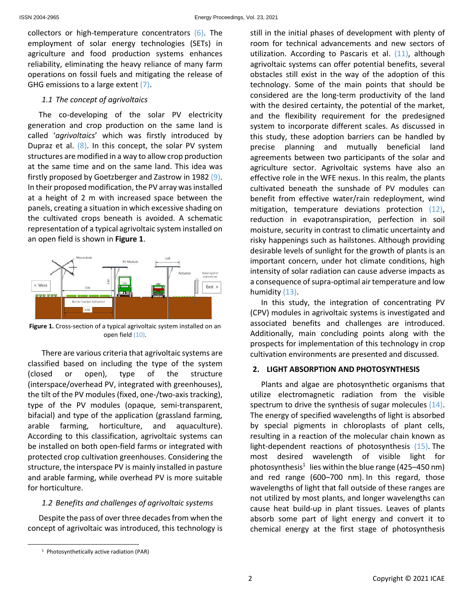collectors or high-temperature concentrators (6). The employment of solar energy technologies (SETs) in agriculture and food production systems enhances reliability, eliminating the heavy reliance of many farm operations on fossil fuels and mitigating the release of GHG emissions to a large extent (7).

### *1.1 The concept of agrivoltaics*

The co-developing of the solar PV electricity generation and crop production on the same land is called '*agrivoltaics*' which was firstly introduced by Dupraz et al.  $(8)$ . In this concept, the solar PV system structures are modified in a way to allow crop production at the same time and on the same land. This idea was firstly proposed by Goetzberger and Zastrow in 1982 (9). In their proposed modification, the PV array was installed at a height of 2 m with increased space between the panels, creating a situation in which excessive shading on the cultivated crops beneath is avoided. A schematic representation of a typical agrivoltaic system installed on an open field is shown in **Figure 1**.



**Figure 1.** Cross-section of a typical agrivoltaic system installed on an open field (10).

There are various criteria that agrivoltaic systems are classified based on including the type of the system (closed or open), type of the structure (interspace/overhead PV, integrated with greenhouses), the tilt of the PV modules (fixed, one-/two-axis tracking), type of the PV modules (opaque, semi-transparent, bifacial) and type of the application (grassland farming, arable farming, horticulture, and aquaculture). According to this classification, agrivoltaic systems can be installed on both open-field farms or integrated with protected crop cultivation greenhouses. Considering the structure, the interspace PV is mainly installed in pasture and arable farming, while overhead PV is more suitable for horticulture.

### *1.2 Benefits and challenges of agrivoltaic systems*

Despite the pass of over three decades from when the concept of agrivoltaic was introduced, this technology is still in the initial phases of development with plenty of room for technical advancements and new sectors of

In this study, the integration of concentrating PV (CPV) modules in agrivoltaic systems is investigated and associated benefits and challenges are introduced. Additionally, main concluding points along with the prospects for implementation of this technology in crop cultivation environments are presented and discussed.

# **2. LIGHT ABSORPTION AND PHOTOSYNTHESIS**

Plants and algae are photosynthetic organisms that utilize electromagnetic radiation from the visible spectrum to drive the synthesis of sugar molecules (14). The energy of specified wavelengths of light is absorbed by special pigments in chloroplasts of plant cells, resulting in a reaction of the molecular chain known as light-dependent reactions of photosynthesis (15). The most desired wavelength of visible light for photosynthesis<sup>1</sup> lies within the blue range (425–450 nm) and red range (600–700 nm). In this regard, those wavelengths of light that fall outside of these ranges are not utilized by most plants, and longer wavelengths can cause heat build-up in plant tissues. Leaves of plants absorb some part of light energy and convert it to chemical energy at the first stage of photosynthesis

utilization. According to Pascaris et al.  $(11)$ , although agrivoltaic systems can offer potential benefits, several obstacles still exist in the way of the adoption of this technology. Some of the main points that should be considered are the long-term productivity of the land with the desired certainty, the potential of the market, and the flexibility requirement for the predesigned system to incorporate different scales. As discussed in this study, these adoption barriers can be handled by precise planning and mutually beneficial land agreements between two participants of the solar and agriculture sector. Agrivoltaic systems have also an effective role in the WFE nexus. In this realm, the plants cultivated beneath the sunshade of PV modules can benefit from effective water/rain redeployment, wind mitigation, temperature deviations protection (12), reduction in evapotranspiration, perfection in soil moisture, security in contrast to climatic uncertainty and risky happenings such as hailstones. Although providing desirable levels of sunlight for the growth of plants is an important concern, under hot climate conditions, high intensity of solar radiation can cause adverse impacts as a consequence of supra-optimal air temperature and low humidity (13).

<sup>1</sup> Photosynthetically active radiation (PAR)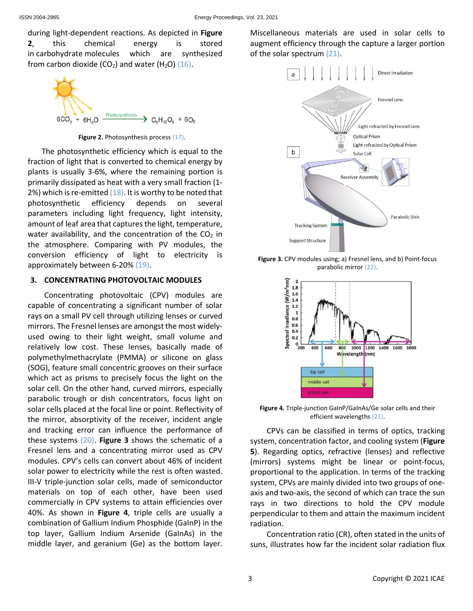during light-dependent reactions. As depicted in **Figure 2**, this chemical energy is stored in carbohydrate molecules which are synthesized from carbon dioxide (CO<sub>2</sub>) and water (H<sub>2</sub>O)  $(16)$ .



**Figure 2.** Photosynthesis process (17).

The photosynthetic efficiency which is equal to the fraction of light that is converted to chemical energy by plants is usually 3-6%, where the remaining portion is primarily dissipated as heat with a very small fraction (1- 2%) which is re-emitted  $(18)$ . It is worthy to be noted that photosynthetic efficiency depends on several parameters including light frequency, light intensity, amount of leaf area that captures the light, temperature, water availability, and the concentration of the  $CO<sub>2</sub>$  in the atmosphere. Comparing with PV modules, the conversion efficiency of light to electricity is approximately between 6-20% (19).

# **3. CONCENTRATING PHOTOVOLTAIC MODULES**

Concentrating photovoltaic (CPV) modules are capable of concentrating a significant number of solar rays on a small PV cell through utilizing lenses or curved mirrors. The Fresnel lenses are amongst the most widelyused owing to their light weight, small volume and relatively low cost. These lenses, basically made of polymethylmethacrylate (PMMA) or silicone on glass (SOG), feature small concentric grooves on their surface which act as prisms to precisely focus the light on the solar cell. On the other hand, curved mirrors, especially parabolic trough or dish concentrators, focus light on solar cells placed at the focal line or point. Reflectivity of the mirror, absorptivity of the receiver, incident angle and tracking error can influence the performance of these systems (20). **Figure 3** shows the schematic of a Fresnel lens and a concentrating mirror used as CPV modules. CPV's cells can convert about 46% of incident solar power to electricity while the rest is often wasted. III-V triple-junction solar cells, made of semiconductor materials on top of each other, have been used commercially in CPV systems to attain efficiencies over 40%. As shown in **Figure 4**, triple cells are usually a combination of Gallium Indium Phosphide (GaInP) in the top layer, Gallium Indium Arsenide (GaInAs) in the middle layer, and geranium (Ge) as the bottom layer.

Miscellaneous materials are used in solar cells to augment efficiency through the capture a larger portion of the solar spectrum (21).



**Figure 3.** CPV modules using; a) Fresnel lens, and b) Point-focus parabolic mirror (22).



**Figure 4.** Triple-junction GaInP/GaInAs/Ge solar cells and their efficient wavelengths (21).

CPVs can be classified in terms of optics, tracking system, concentration factor, and cooling system (**Figure 5**). Regarding optics, refractive (lenses) and reflective (mirrors) systems might be linear or point-focus, proportional to the application. In terms of the tracking system, CPVs are mainly divided into two groups of oneaxis and two-axis, the second of which can trace the sun rays in two directions to hold the CPV module perpendicular to them and attain the maximum incident radiation.

Concentration ratio (CR), often stated in the units of suns, illustrates how far the incident solar radiation flux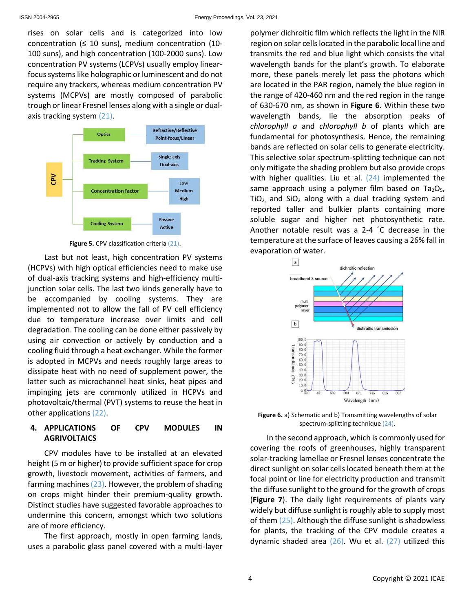rises on solar cells and is categorized into low concentration ( $\leq 10$  suns), medium concentration (10-100 suns), and high concentration (100-2000 suns). Low concentration PV systems (LCPVs) usually employ linearfocus systems like holographic or luminescent and do not require any trackers, whereas medium concentration PV systems (MCPVs) are mostly composed of parabolic trough or linear Fresnel lenses along with a single or dualaxis tracking system (21).



**Figure 5.** CPV classification criteria (21).

Last but not least, high concentration PV systems (HCPVs) with high optical efficiencies need to make use of dual-axis tracking systems and high-efficiency multijunction solar cells. The last two kinds generally have to be accompanied by cooling systems. They are implemented not to allow the fall of PV cell efficiency due to temperature increase over limits and cell degradation. The cooling can be done either passively by using air convection or actively by conduction and a cooling fluid through a heat exchanger. While the former is adopted in MCPVs and needs roughly large areas to dissipate heat with no need of supplement power, the latter such as microchannel heat sinks, heat pipes and impinging jets are commonly utilized in HCPVs and photovoltaic/thermal (PVT) systems to reuse the heat in other applications (22).

# **4. APPLICATIONS OF CPV MODULES IN AGRIVOLTAICS**

CPV modules have to be installed at an elevated height (5 m or higher) to provide sufficient space for crop growth, livestock movement, activities of farmers, and farming machines  $(23)$ . However, the problem of shading on crops might hinder their premium-quality growth. Distinct studies have suggested favorable approaches to undermine this concern, amongst which two solutions are of more efficiency.

The first approach, mostly in open farming lands, uses a parabolic glass panel covered with a multi-layer

polymer dichroitic film which reflects the light in the NIR region on solar cells located in the parabolic local line and transmits the red and blue light which consists the vital wavelength bands for the plant's growth. To elaborate more, these panels merely let pass the photons which are located in the PAR region, namely the blue region in the range of 420-460 nm and the red region in the range of 630-670 nm, as shown in **Figure 6**. Within these two wavelength bands, lie the absorption peaks of *chlorophyll a* and *chlorophyll b* of plants which are fundamental for photosynthesis. Hence, the remaining bands are reflected on solar cells to generate electricity. This selective solar spectrum-splitting technique can not only mitigate the shading problem but also provide crops with higher qualities. Liu et al. (24) implemented the same approach using a polymer film based on  $Ta_2O_5$ ,  $TiO<sub>2</sub>$  and  $SiO<sub>2</sub>$  along with a dual tracking system and reported taller and bulkier plants containing more soluble sugar and higher net photosynthetic rate. Another notable result was a 2-4 ˚C decrease in the temperature at the surface of leaves causing a 26% fall in evaporation of water.



**Figure 6.** a) Schematic and b) Transmitting wavelengths of solar spectrum-splitting technique (24).

In the second approach, which is commonly used for covering the roofs of greenhouses, highly transparent solar-tracking lamellae or Fresnel lenses concentrate the direct sunlight on solar cells located beneath them at the focal point or line for electricity production and transmit the diffuse sunlight to the ground for the growth of crops (**Figure 7**). The daily light requirements of plants vary widely but diffuse sunlight is roughly able to supply most of them (25). Although the diffuse sunlight is shadowless for plants, the tracking of the CPV module creates a dynamic shaded area  $(26)$ . Wu et al.  $(27)$  utilized this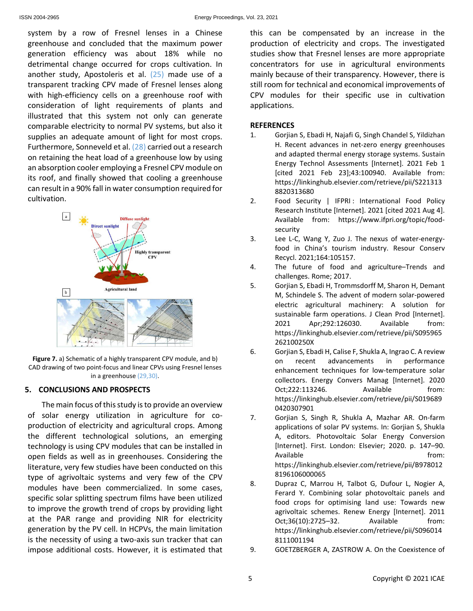system by a row of Fresnel lenses in a Chinese greenhouse and concluded that the maximum power generation efficiency was about 18% while no detrimental change occurred for crops cultivation. In another study, Apostoleris et al. (25) made use of a transparent tracking CPV made of Fresnel lenses along with high-efficiency cells on a greenhouse roof with consideration of light requirements of plants and illustrated that this system not only can generate comparable electricity to normal PV systems, but also it supplies an adequate amount of light for most crops. Furthermore, Sonneveld et al. (28) carried out a research on retaining the heat load of a greenhouse low by using an absorption cooler employing a Fresnel CPV module on its roof, and finally showed that cooling a greenhouse can result in a 90% fall in water consumption required for cultivation.



**Figure 7.** a) Schematic of a highly transparent CPV module, and b) CAD drawing of two point-focus and linear CPVs using Fresnel lenses in a greenhouse (29,30).

## **5. CONCLUSIONS AND PROSPECTS**

The main focus of this study is to provide an overview of solar energy utilization in agriculture for coproduction of electricity and agricultural crops. Among the different technological solutions, an emerging technology is using CPV modules that can be installed in open fields as well as in greenhouses. Considering the literature, very few studies have been conducted on this type of agrivoltaic systems and very few of the CPV modules have been commercialized. In some cases, specific solar splitting spectrum films have been utilized to improve the growth trend of crops by providing light at the PAR range and providing NIR for electricity generation by the PV cell. In HCPVs, the main limitation is the necessity of using a two-axis sun tracker that can impose additional costs. However, it is estimated that

this can be compensated by an increase in the production of electricity and crops. The investigated studies show that Fresnel lenses are more appropriate concentrators for use in agricultural environments mainly because of their transparency. However, there is still room for technical and economical improvements of CPV modules for their specific use in cultivation applications.

### **REFERENCES**

- 1. Gorjian S, Ebadi H, Najafi G, Singh Chandel S, Yildizhan H. Recent advances in net-zero energy greenhouses and adapted thermal energy storage systems. Sustain Energy Technol Assessments [Internet]. 2021 Feb 1 [cited 2021 Feb 23];43:100940. Available from: https://linkinghub.elsevier.com/retrieve/pii/S221313 8820313680
- 2. Food Security | IFPRI : International Food Policy Research Institute [Internet]. 2021 [cited 2021 Aug 4]. Available from: https://www.ifpri.org/topic/foodsecurity
- 3. Lee L-C, Wang Y, Zuo J. The nexus of water-energyfood in China's tourism industry. Resour Conserv Recycl. 2021;164:105157.
- 4. The future of food and agriculture–Trends and challenges. Rome; 2017.
- 5. Gorjian S, Ebadi H, Trommsdorff M, Sharon H, Demant M, Schindele S. The advent of modern solar-powered electric agricultural machinery: A solution for sustainable farm operations. J Clean Prod [Internet]. 2021 Apr;292:126030. Available from: https://linkinghub.elsevier.com/retrieve/pii/S095965 262100250X
- 6. Gorjian S, Ebadi H, Calise F, Shukla A, Ingrao C. A review on recent advancements in performance enhancement techniques for low-temperature solar collectors. Energy Convers Manag [Internet]. 2020 Oct;222:113246. Available from: https://linkinghub.elsevier.com/retrieve/pii/S019689 0420307901
- 7. Gorjian S, Singh R, Shukla A, Mazhar AR. On-farm applications of solar PV systems. In: Gorjian S, Shukla A, editors. Photovoltaic Solar Energy Conversion [Internet]. First. London: Elsevier; 2020. p. 147–90. Available from: https://linkinghub.elsevier.com/retrieve/pii/B978012 8196106000065
- 8. Dupraz C, Marrou H, Talbot G, Dufour L, Nogier A, Ferard Y. Combining solar photovoltaic panels and food crops for optimising land use: Towards new agrivoltaic schemes. Renew Energy [Internet]. 2011 Oct;36(10):2725–32. Available from: https://linkinghub.elsevier.com/retrieve/pii/S096014 8111001194
- 9. GOETZBERGER A, ZASTROW A. On the Coexistence of